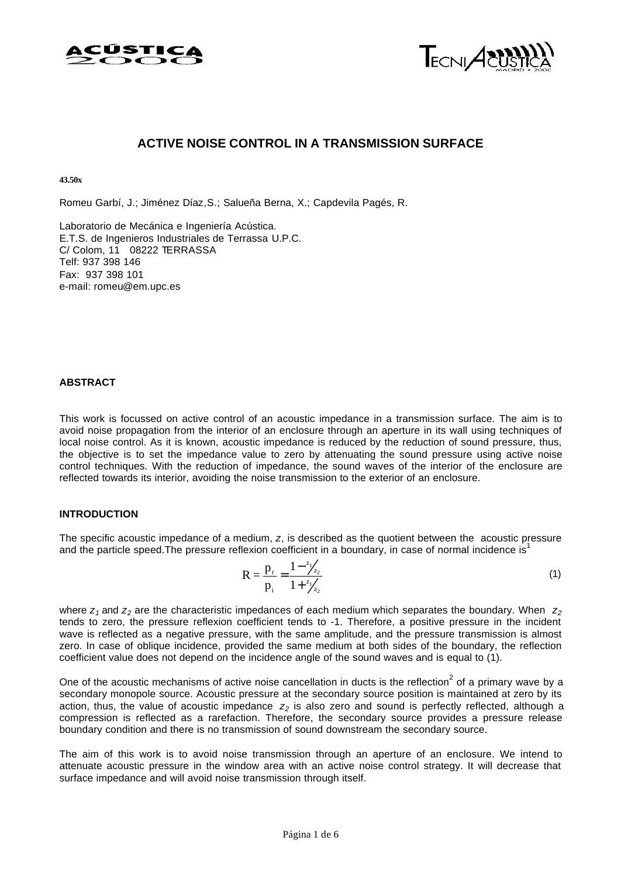



# **ACTIVE NOISE CONTROL IN A TRANSMISSION SURFACE**

**43.50x**

Romeu Garbí, J.; Jiménez Díaz,S.; Salueña Berna, X.; Capdevila Pagés, R.

Laboratorio de Mecánica e Ingeniería Acústica. E.T.S. de Ingenieros Industriales de Terrassa U.P.C. C/ Colom, 11 08222 TERRASSA Telf: 937 398 146 Fax: 937 398 101 e-mail: romeu@em.upc.es

#### **ABSTRACT**

This work is focussed on active control of an acoustic impedance in a transmission surface. The aim is to avoid noise propagation from the interior of an enclosure through an aperture in its wall using techniques of local noise control. As it is known, acoustic impedance is reduced by the reduction of sound pressure, thus, the objective is to set the impedance value to zero by attenuating the sound pressure using active noise control techniques. With the reduction of impedance, the sound waves of the interior of the enclosure are reflected towards its interior, avoiding the noise transmission to the exterior of an enclosure.

### **INTRODUCTION**

The specific acoustic impedance of a medium, *z*, is described as the quotient between the acoustic pressure and the particle speed. The pressure reflexion coefficient in a boundary, in case of normal incidence is<sup>1</sup>

$$
R = \frac{p_r}{p_i} = \frac{1 - \frac{z_1}{z_2}}{1 + \frac{z_1}{z_2}}\tag{1}
$$

where *z1* and *z2* are the characteristic impedances of each medium which separates the boundary. When *z<sup>2</sup>* tends to zero, the pressure reflexion coefficient tends to -1. Therefore, a positive pressure in the incident wave is reflected as a negative pressure, with the same amplitude, and the pressure transmission is almost zero. In case of oblique incidence, provided the same medium at both sides of the boundary, the reflection coefficient value does not depend on the incidence angle of the sound waves and is equal to (1).

One of the acoustic mechanisms of active noise cancellation in ducts is the reflection<sup>2</sup> of a primary wave by a secondary monopole source. Acoustic pressure at the secondary source position is maintained at zero by its action, thus, the value of acoustic impedance *z2* is also zero and sound is perfectly reflected, although a compression is reflected as a rarefaction. Therefore, the secondary source provides a pressure release boundary condition and there is no transmission of sound downstream the secondary source.

The aim of this work is to avoid noise transmission through an aperture of an enclosure. We intend to attenuate acoustic pressure in the window area with an active noise control strategy. It will decrease that surface impedance and will avoid noise transmission through itself.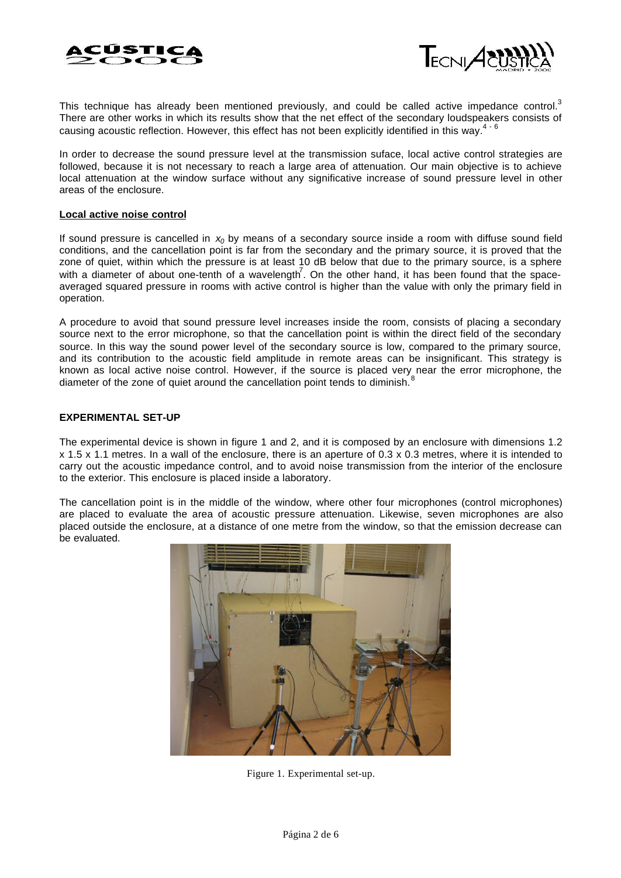



This technique has already been mentioned previously, and could be called active impedance control.<sup>3</sup> There are other works in which its results show that the net effect of the secondary loudspeakers consists of causing acoustic reflection. However, this effect has not been explicitly identified in this way.<sup>4 - 6</sup>

In order to decrease the sound pressure level at the transmission suface, local active control strategies are followed, because it is not necessary to reach a large area of attenuation. Our main objective is to achieve local attenuation at the window surface without any significative increase of sound pressure level in other areas of the enclosure.

#### **Local active noise control**

If sound pressure is cancelled in *x<sup>0</sup>* by means of a secondary source inside a room with diffuse sound field conditions, and the cancellation point is far from the secondary and the primary source, it is proved that the zone of quiet, within which the pressure is at least 10 dB below that due to the primary source, is a sphere with a diameter of about one-tenth of a wavelength<sup>7</sup>. On the other hand, it has been found that the spaceaveraged squared pressure in rooms with active control is higher than the value with only the primary field in operation.

A procedure to avoid that sound pressure level increases inside the room, consists of placing a secondary source next to the error microphone, so that the cancellation point is within the direct field of the secondary source. In this way the sound power level of the secondary source is low, compared to the primary source, and its contribution to the acoustic field amplitude in remote areas can be insignificant. This strategy is known as local active noise control. However, if the source is placed very near the error microphone, the diameter of the zone of quiet around the cancellation point tends to diminish.

### **EXPERIMENTAL SET-UP**

The experimental device is shown in figure 1 and 2, and it is composed by an enclosure with dimensions 1.2 x 1.5 x 1.1 metres. In a wall of the enclosure, there is an aperture of 0.3 x 0.3 metres, where it is intended to carry out the acoustic impedance control, and to avoid noise transmission from the interior of the enclosure to the exterior. This enclosure is placed inside a laboratory.

The cancellation point is in the middle of the window, where other four microphones (control microphones) are placed to evaluate the area of acoustic pressure attenuation. Likewise, seven microphones are also placed outside the enclosure, at a distance of one metre from the window, so that the emission decrease can be evaluated.



Figure 1. Experimental set-up.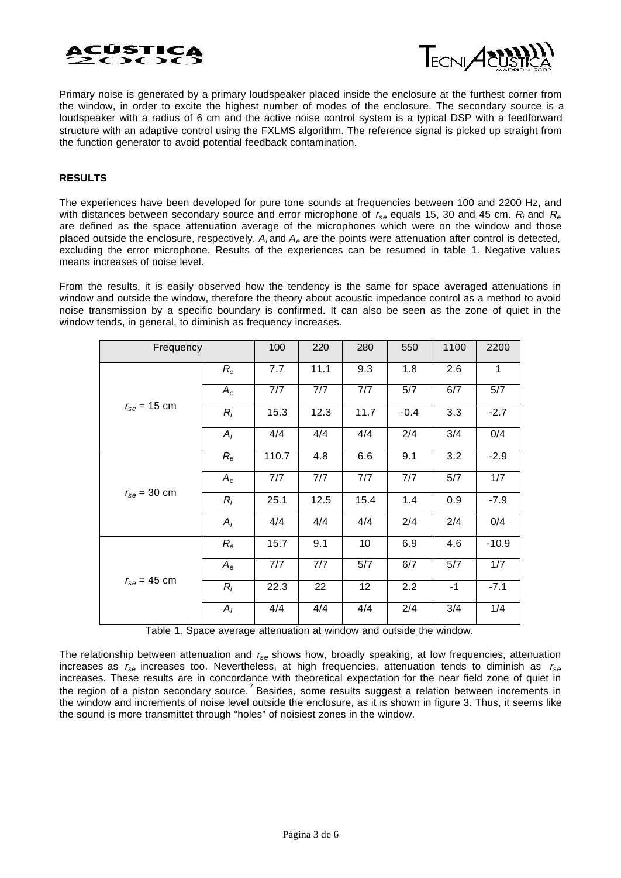



Primary noise is generated by a primary loudspeaker placed inside the enclosure at the furthest corner from the window, in order to excite the highest number of modes of the enclosure. The secondary source is a loudspeaker with a radius of 6 cm and the active noise control system is a typical DSP with a feedforward structure with an adaptive control using the FXLMS algorithm. The reference signal is picked up straight from the function generator to avoid potential feedback contamination.

### **RESULTS**

The experiences have been developed for pure tone sounds at frequencies between 100 and 2200 Hz, and with distances between secondary source and error microphone of *rse* equals 15, 30 and 45 cm. *R<sup>i</sup>* and *R<sup>e</sup>* are defined as the space attenuation average of the microphones which were on the window and those placed outside the enclosure, respectively. *A<sup>i</sup>* and *Ae* are the points were attenuation after control is detected, excluding the error microphone. Results of the experiences can be resumed in table 1. Negative values means increases of noise level.

From the results, it is easily observed how the tendency is the same for space averaged attenuations in window and outside the window, therefore the theory about acoustic impedance control as a method to avoid noise transmission by a specific boundary is confirmed. It can also be seen as the zone of quiet in the window tends, in general, to diminish as frequency increases.

| Frequency        |             | 100   | 220  | 280  | 550    | 1100 | 2200    |
|------------------|-------------|-------|------|------|--------|------|---------|
| $r_{se}$ = 15 cm | $R_{\rm e}$ | 7.7   | 11.1 | 9.3  | 1.8    | 2.6  | 1       |
|                  | $A_e$       | 7/7   | 7/7  | 7/7  | 5/7    | 6/7  | 5/7     |
|                  | $R_i$       | 15.3  | 12.3 | 11.7 | $-0.4$ | 3.3  | $-2.7$  |
|                  | $A_i$       | 4/4   | 4/4  | 4/4  | 2/4    | 3/4  | 0/4     |
| $r_{se}$ = 30 cm | $R_{\rm e}$ | 110.7 | 4.8  | 6.6  | 9.1    | 3.2  | $-2.9$  |
|                  | $A_e$       | 7/7   | 7/7  | 7/7  | 7/7    | 5/7  | 1/7     |
|                  | $R_i$       | 25.1  | 12.5 | 15.4 | 1.4    | 0.9  | $-7.9$  |
|                  | $A_i$       | 4/4   | 4/4  | 4/4  | 2/4    | 2/4  | 0/4     |
| $r_{se}$ = 45 cm | $R_{\rm e}$ | 15.7  | 9.1  | 10   | 6.9    | 4.6  | $-10.9$ |
|                  | $A_e$       | 7/7   | 7/7  | 5/7  | 6/7    | 5/7  | 1/7     |
|                  | $R_i$       | 22.3  | 22   | 12   | 2.2    | $-1$ | $-7.1$  |
|                  | $A_i$       | 4/4   | 4/4  | 4/4  | 2/4    | 3/4  | 1/4     |

Table 1. Space average attenuation at window and outside the window.

The relationship between attenuation and *rse* shows how, broadly speaking, at low frequencies, attenuation increases as *rse* increases too. Nevertheless, at high frequencies, attenuation tends to diminish as *rse* increases. These results are in concordance with theoretical expectation for the near field zone of quiet in the region of a piston secondary source.<sup>2</sup> Besides, some results suggest a relation between increments in the window and increments of noise level outside the enclosure, as it is shown in figure 3. Thus, it seems like the sound is more transmittet through "holes" of noisiest zones in the window.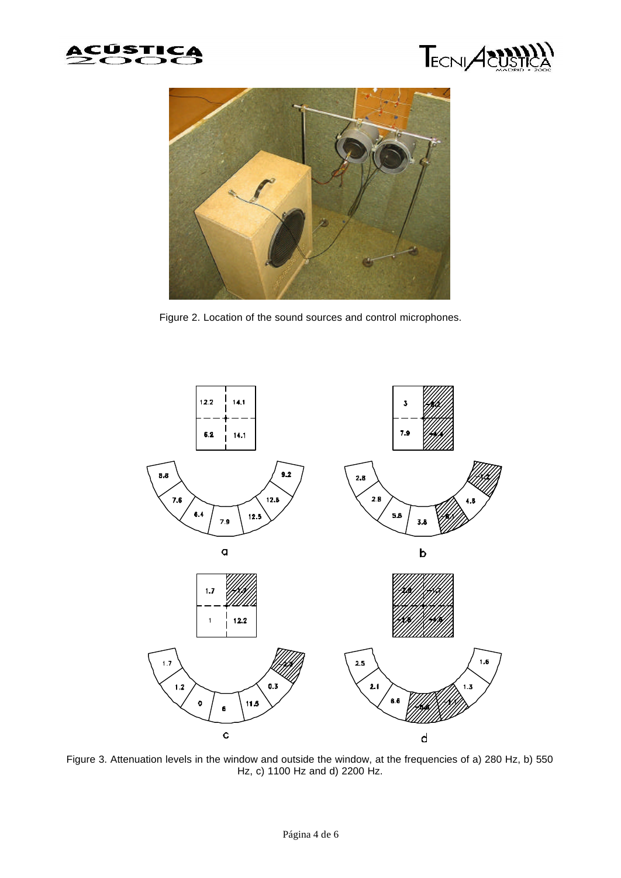





Figure 2. Location of the sound sources and control microphones.



Figure 3. Attenuation levels in the window and outside the window, at the frequencies of a) 280 Hz, b) 550 Hz, c) 1100 Hz and d) 2200 Hz.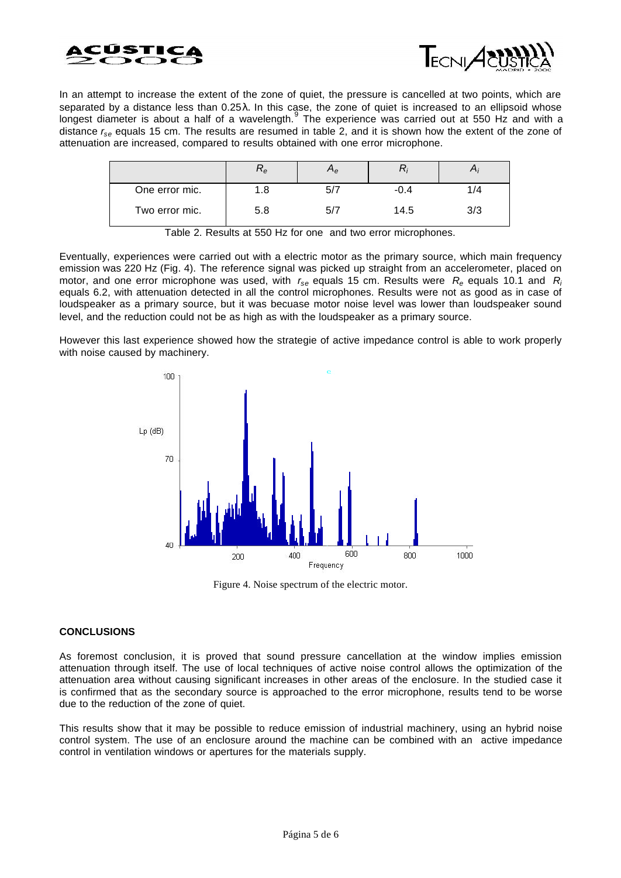



In an attempt to increase the extent of the zone of quiet, the pressure is cancelled at two points, which are separated by a distance less than 0.25λ. In this case, the zone of quiet is increased to an ellipsoid whose longest diameter is about a half of a wavelength.<sup>9</sup> The experience was carried out at 550 Hz and with a distance *rse* equals 15 cm. The results are resumed in table 2, and it is shown how the extent of the zone of attenuation are increased, compared to results obtained with one error microphone.

|                | ⊥e  | $\mathsf{e}\hspace{-1.5pt}\mathsf{e}\hspace{-1.5pt}$ |        |     |
|----------------|-----|------------------------------------------------------|--------|-----|
| One error mic. | 1.8 |                                                      | $-0.4$ | 1/4 |
| Two error mic. | 5.8 |                                                      | 14.5   | 3/3 |

Table 2. Results at 550 Hz for one and two error microphones.

Eventually, experiences were carried out with a electric motor as the primary source, which main frequency emission was 220 Hz (Fig. 4). The reference signal was picked up straight from an accelerometer, placed on motor, and one error microphone was used, with *rse* equals 15 cm. Results were *Re* equals 10.1 and *R<sup>i</sup>* equals 6.2, with attenuation detected in all the control microphones. Results were not as good as in case of loudspeaker as a primary source, but it was becuase motor noise level was lower than loudspeaker sound level, and the reduction could not be as high as with the loudspeaker as a primary source.

However this last experience showed how the strategie of active impedance control is able to work properly with noise caused by machinery.



Figure 4. Noise spectrum of the electric motor.

### **CONCLUSIONS**

As foremost conclusion, it is proved that sound pressure cancellation at the window implies emission attenuation through itself. The use of local techniques of active noise control allows the optimization of the attenuation area without causing significant increases in other areas of the enclosure. In the studied case it is confirmed that as the secondary source is approached to the error microphone, results tend to be worse due to the reduction of the zone of quiet.

This results show that it may be possible to reduce emission of industrial machinery, using an hybrid noise control system. The use of an enclosure around the machine can be combined with an active impedance control in ventilation windows or apertures for the materials supply.